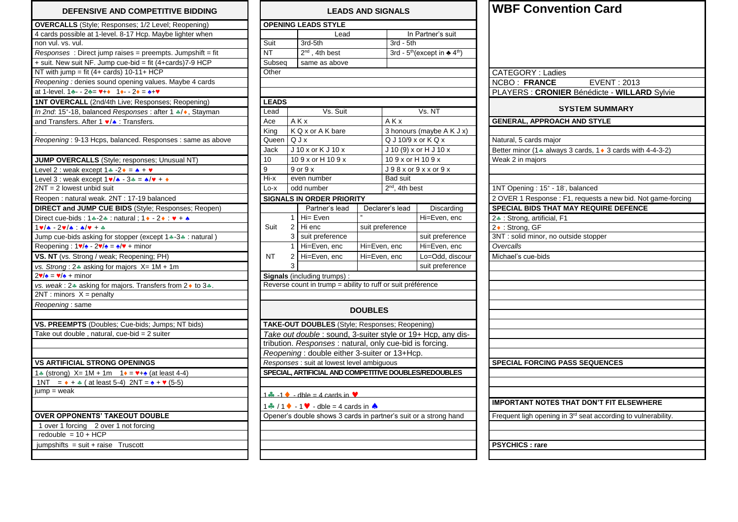| <b>OVERCALLS</b> (Style; Responses; 1/2 Level; Reopening)                     |                                                                                                                                                   |                       | <b>OPENING LEADS STYLE</b>                                          |                                          |                  |                           |                        |
|-------------------------------------------------------------------------------|---------------------------------------------------------------------------------------------------------------------------------------------------|-----------------------|---------------------------------------------------------------------|------------------------------------------|------------------|---------------------------|------------------------|
| 4 cards possible at 1-level. 8-17 Hcp. Maybe lighter when                     |                                                                                                                                                   | Lead                  |                                                                     |                                          |                  | In Partner's suit         |                        |
| non vul. vs. vul.                                                             | Suit                                                                                                                                              | 3rd-5th               |                                                                     | $3rd - 5th$                              |                  |                           |                        |
| Responses : Direct jump raises = preempts. Jumpshift = fit                    | <b>NT</b>                                                                                                                                         | $2^{nd}$ , 4th best   |                                                                     | 3rd - $5th$ (except in $\triangle 4th$ ) |                  |                           |                        |
| + suit. New suit NF. Jump cue-bid = fit (4+cards)7-9 HCP                      | Subseq                                                                                                                                            |                       | same as above                                                       |                                          |                  |                           |                        |
| NT with jump = fit $(4 + \text{cards}) 10-11+ HCP$                            | Other                                                                                                                                             |                       |                                                                     |                                          |                  |                           | CATEGORY: La           |
| Reopening : denies sound opening values. Maybe 4 cards                        |                                                                                                                                                   |                       |                                                                     |                                          |                  |                           | NCBO: FRANC            |
| at 1-level. $1 - 2 = 2 + 1$                                                   |                                                                                                                                                   |                       |                                                                     |                                          |                  |                           | <b>PLAYERS: CRO</b>    |
| 1NT OVERCALL (2nd/4th Live; Responses; Reopening)                             | <b>LEADS</b>                                                                                                                                      |                       |                                                                     |                                          |                  |                           |                        |
| In 2nd: 15 <sup>+</sup> -18, balanced Responses : after 1 */*, Stayman        | Lead                                                                                                                                              |                       | Vs. Suit                                                            |                                          |                  | Vs. NT                    |                        |
| and Transfers. After 1 $\sqrt{\bullet}$ : Transfers.                          | Ace                                                                                                                                               | AKx                   |                                                                     |                                          | AKx              |                           | <b>GENERAL, APPR</b>   |
|                                                                               | King                                                                                                                                              |                       | K Q x or A K bare                                                   |                                          |                  | 3 honours (maybe A K J x) |                        |
| Reopening: 9-13 Hcps, balanced. Responses: same as above                      |                                                                                                                                                   | QJx<br>Queen          |                                                                     |                                          |                  | $QJ10/9x$ or $KQx$        | Natural, 5 cards m     |
|                                                                               | Jack                                                                                                                                              |                       | J 10 x or K J 10 x                                                  |                                          |                  | J 10 (9) x or H J 10 x    | Better minor (1+ a     |
| JUMP OVERCALLS (Style; responses; Unusual NT)                                 | 10                                                                                                                                                |                       | 109 x or H 109 x                                                    |                                          | 109 x or H 109 x |                           | Weak 2 in majors       |
| Level 2 : weak except $1 - 2 \cdot = 1 + \cdot \cdot$                         | 9                                                                                                                                                 |                       | 9 or 9 x                                                            |                                          |                  | J98xor9xxor9x             |                        |
| Level 3 : weak except $1\vee/$ - $3\cdot = \triangle/\vee + \triangle$        | Hi-x                                                                                                                                              |                       | even number                                                         |                                          | Bad suit         |                           |                        |
| $2NT = 2$ lowest unbid suit                                                   | Lo-x                                                                                                                                              |                       | odd number                                                          |                                          | $2nd$ , 4th best |                           | 1NT Opening: 15+       |
| Reopen: natural weak. 2NT: 17-19 balanced                                     |                                                                                                                                                   |                       | <b>SIGNALS IN ORDER PRIORITY</b>                                    |                                          |                  |                           | 2 OVER 1 Respon        |
| <b>DIRECT and JUMP CUE BIDS (Style; Responses; Reopen)</b>                    |                                                                                                                                                   |                       | Partner's lead                                                      |                                          | Declarer's lead  | Discarding                | <b>SPECIAL BIDS TH</b> |
| Direct cue-bids : 1+-2+ : natural ; 1+ - 2+ : $\cdot$ + +                     |                                                                                                                                                   |                       | 1 $\mathsf{Hi} = \mathsf{Even}$                                     |                                          |                  | Hi=Even, enc              | 2+: Strong, artifici   |
| $1 \vee 4 - 2 \vee 4$ $\wedge$ $\vee$ + $\wedge$                              | Suit                                                                                                                                              |                       | 2 Hi enc                                                            |                                          | suit preference  |                           | 2 ↓: Strong, GF        |
| Jump cue-bids asking for stopper (except 1+-3+: natural)                      |                                                                                                                                                   |                       | 3 suit preference                                                   |                                          |                  | suit preference           | 3NT: solid minor,      |
| Reopening: $1\sqrt{2}$ - $2\sqrt{2} = \sqrt{2}$ + minor                       |                                                                                                                                                   | $\mathbf{1}$          | Hi=Even, enc                                                        |                                          | Hi=Even, enc     | Hi=Even. enc              | Overcalls              |
| VS. NT (vs. Strong / weak; Reopening; PH)                                     | NT                                                                                                                                                |                       | 2 Hi=Even, enc                                                      |                                          | Hi=Even, enc     | Lo=Odd, discour           | Michael's cue-bids     |
| vs. Strong: $2$ asking for majors $X = 1M + 1m$                               |                                                                                                                                                   | 3                     |                                                                     |                                          |                  | suit preference           |                        |
| $2\sqrt{2} = \sqrt{2} + \text{minor}$                                         |                                                                                                                                                   |                       | <b>Signals</b> (including trumps):                                  |                                          |                  |                           |                        |
| vs. weak: 2.4 asking for majors. Transfers from 2.4 to 3.4.                   |                                                                                                                                                   |                       | Reverse count in trump = ability to ruff or suit préférence         |                                          |                  |                           |                        |
| $2NT: minors X = penalty$                                                     |                                                                                                                                                   |                       |                                                                     |                                          |                  |                           |                        |
| Reopening: same                                                               |                                                                                                                                                   |                       |                                                                     |                                          |                  |                           |                        |
|                                                                               |                                                                                                                                                   |                       |                                                                     | <b>DOUBLES</b>                           |                  |                           |                        |
| VS. PREEMPTS (Doubles; Cue-bids; Jumps; NT bids)                              |                                                                                                                                                   |                       | <b>TAKE-OUT DOUBLES</b> (Style; Responses; Reopening)               |                                          |                  |                           |                        |
| Take out double, natural, cue-bid = 2 suiter                                  | Take out double : sound, 3-suiter style or 19+ Hcp, any dis-                                                                                      |                       |                                                                     |                                          |                  |                           |                        |
|                                                                               |                                                                                                                                                   |                       | tribution. Responses: natural, only cue-bid is forcing.             |                                          |                  |                           |                        |
|                                                                               |                                                                                                                                                   |                       | Reopening: double either 3-suiter or 13+Hcp.                        |                                          |                  |                           |                        |
| <b>VS ARTIFICIAL STRONG OPENINGS</b>                                          | Responses : suit at lowest level ambiguous                                                                                                        | <b>SPECIAL FORCIN</b> |                                                                     |                                          |                  |                           |                        |
| 1. (strong) $X = 1M + 1m$ $1 \cdot x = 14$ (at least 4-4)                     | SPECIAL, ARTIFICIAL AND COMPETITIVE DOUBLES/REDOUBLES                                                                                             |                       |                                                                     |                                          |                  |                           |                        |
| 1NT = $\bullet$ + $\bullet$ ( at least 5-4) 2NT = $\bullet$ + $\bullet$ (5-5) |                                                                                                                                                   |                       |                                                                     |                                          |                  |                           |                        |
| $jump = weak$                                                                 |                                                                                                                                                   |                       | $1\cdot\cdot\cdot$ -1 $\cdot\cdot$ - dble = 4 cards in $\cdot\cdot$ |                                          |                  |                           |                        |
|                                                                               |                                                                                                                                                   |                       |                                                                     |                                          |                  |                           | <b>IMPORTANT NOT</b>   |
|                                                                               | $1\clubsuit$ / $1\spadesuit$ - $1\spadesuit$ - dble = 4 cards in $\spadesuit$<br>Opener's double shows 3 cards in partner's suit or a strong hand |                       |                                                                     |                                          |                  |                           |                        |
| <b>OVER OPPONENTS' TAKEOUT DOUBLE</b>                                         |                                                                                                                                                   |                       |                                                                     |                                          |                  |                           | Frequent ligh open     |
| 1 over 1 forcing 2 over 1 not forcing<br>redouble = $10 + HCP$                |                                                                                                                                                   |                       |                                                                     |                                          |                  |                           |                        |
|                                                                               |                                                                                                                                                   |                       |                                                                     |                                          |                  |                           |                        |
| jumpshifts = suit + raise $Truscott$                                          |                                                                                                                                                   |                       |                                                                     |                                          |                  |                           | <b>PSYCHICS: rare</b>  |
|                                                                               |                                                                                                                                                   |                       |                                                                     |                                          |                  |                           |                        |

| DEFENSIVE AND COMPETITIVE BIDDING                                                         |                                            | <b>LEADS AND SIGNALS</b> |                                                                               |                |                  |                                                      |  | <b>WBF Convention Card</b>                              |  |  |
|-------------------------------------------------------------------------------------------|--------------------------------------------|--------------------------|-------------------------------------------------------------------------------|----------------|------------------|------------------------------------------------------|--|---------------------------------------------------------|--|--|
| <b>OVERCALLS</b> (Style: Responses: 1/2 Level: Reopening)                                 |                                            |                          | <b>OPENING LEADS STYLE</b>                                                    |                |                  |                                                      |  |                                                         |  |  |
| 4 cards possible at 1-level. 8-17 Hcp. Maybe lighter when                                 | Lead                                       |                          |                                                                               |                |                  | In Partner's suit                                    |  |                                                         |  |  |
| on vul. vs. vul.                                                                          | Suit                                       | 3rd-5th<br>$3rd - 5th$   |                                                                               |                |                  |                                                      |  |                                                         |  |  |
| Responses : Direct jump raises = preempts. Jumpshift = fit                                | <b>NT</b>                                  |                          | $2^{nd}$ , 4th best                                                           |                |                  | 3rd - $5th$ (except in $\clubsuit$ 4 <sup>th</sup> ) |  |                                                         |  |  |
| suit. New suit NF. Jump cue-bid = fit (4+cards)7-9 HCP                                    | Subseq                                     |                          | same as above                                                                 |                |                  |                                                      |  |                                                         |  |  |
| $\sqrt{1}$ with jump = fit (4+ cards) 10-11+ HCP                                          | Other                                      |                          |                                                                               |                |                  |                                                      |  | <b>CATEGORY: Ladies</b>                                 |  |  |
| Reopening: denies sound opening values. Maybe 4 cards                                     |                                            |                          |                                                                               |                |                  |                                                      |  | <b>NCBO: FRANCE</b><br>EVENT:                           |  |  |
| at 1-level. 1+ - 2+ = $+$ 1+ - 2+ = $+$                                                   |                                            |                          |                                                                               |                |                  |                                                      |  | PLAYERS : CRONIER Bénédicte - W                         |  |  |
| INT OVERCALL (2nd/4th Live; Responses; Reopening)                                         | <b>LEADS</b>                               |                          |                                                                               |                |                  |                                                      |  |                                                         |  |  |
| n 2nd: 15 <sup>+</sup> -18, balanced Responses : after 1 */*, Stayman                     | Lead                                       | Vs. Suit                 |                                                                               |                | Vs. NT           |                                                      |  | <b>SYSTEM SUMMA</b>                                     |  |  |
| and Transfers. After 1 $\mathbf{v}/\mathbf{A}$ : Transfers.                               | Ace                                        |                          | AKx                                                                           |                | AKx              |                                                      |  | <b>GENERAL, APPROACH AND STYLE</b>                      |  |  |
|                                                                                           | King                                       |                          | K Q x or A K bare                                                             |                |                  | 3 honours (maybe A K J x)                            |  |                                                         |  |  |
| Reopening: 9-13 Hcps, balanced. Responses: same as above                                  |                                            | Queen   Q J x            |                                                                               |                |                  | $QJ10/9x$ or $KQx$                                   |  | Natural, 5 cards major                                  |  |  |
|                                                                                           | Jack                                       |                          | $J10x$ or K J 10 x                                                            |                |                  | J 10 (9) x or H J 10 x                               |  | Better minor (1+ always 3 cards, 1+ 3 car               |  |  |
| <b>JUMP OVERCALLS</b> (Style; responses; Unusual NT)                                      | 10                                         |                          | 109 x or H 109 x                                                              |                | 109 x or H 109 x |                                                      |  | Weak 2 in majors                                        |  |  |
| Level 2 : weak except 1.4 - 2. $\bullet$ = $\bullet$ + $\bullet$                          | 9                                          |                          | $9$ or $9x$                                                                   |                |                  | $J98x$ or $9xx$ or $9x$                              |  |                                                         |  |  |
| Level 3 : weak except $1 \vee / \triangle$ - 3♣ = $\triangle / \triangledown + \triangle$ | Hi-x                                       |                          | even number                                                                   |                | Bad suit         |                                                      |  |                                                         |  |  |
| $2NT = 2$ lowest unbid suit                                                               | Lo-x                                       | odd number               |                                                                               |                | $2nd$ , 4th best |                                                      |  | 1NT Opening: 15 <sup>+</sup> - 18, balanced             |  |  |
| Reopen: natural weak. 2NT: 17-19 balanced                                                 |                                            |                          | <b>SIGNALS IN ORDER PRIORITY</b>                                              |                |                  |                                                      |  | 2 OVER 1 Response : F1, requests a new                  |  |  |
| DIRECT and JUMP CUE BIDS (Style: Responses: Reopen)                                       |                                            |                          | Partner's lead                                                                |                | Declarer's lead  | Discarding                                           |  | SPECIAL BIDS THAT MAY REQUIRE DE                        |  |  |
| Direct cue-bids: $1 - 2$ : natural: $1 - 2$ : $\bullet$ : $\bullet$ + $\bullet$           |                                            | $\mathbf{1}$             | Hi= Even                                                                      |                |                  | Hi=Even, enc                                         |  | 2. Strong, artificial, F1                               |  |  |
| $\sqrt{4 - 2\nu/4}$ . $\sqrt{4 + 4}$                                                      | Suit                                       |                          | 2 Hi enc                                                                      |                | suit preference  |                                                      |  | 2◆: Strong, GF                                          |  |  |
| lump cue-bids asking for stopper (except 1+-3+: natural)                                  |                                            |                          | 3   suit preference                                                           |                |                  | suit preference                                      |  | 3NT : solid minor, no outside stopper                   |  |  |
| Reopening: $1\sqrt{2} - 2\sqrt{2} = \sqrt{2} \sqrt{2} + \text{minor}$                     |                                            | $\mathbf{1}$             | Hi=Even, enc                                                                  |                | Hi=Even, enc     | Hi=Even, enc                                         |  | Overcalls                                               |  |  |
| <b>S. NT</b> (vs. Strong / weak; Reopening; PH)                                           | NT                                         | $\overline{2}$           | Hi=Even, enc                                                                  |                | Hi=Even, enc     | Lo=Odd, discour                                      |  | Michael's cue-bids                                      |  |  |
| $\sqrt{s}$ . Strong : 2. asking for majors $X = 1M + 1m$                                  |                                            | 3                        |                                                                               |                |                  | suit preference                                      |  |                                                         |  |  |
| $2\sqrt{2} = \sqrt{2} + \text{minor}$                                                     |                                            |                          | <b>Signals</b> (including trumps):                                            |                |                  |                                                      |  |                                                         |  |  |
| /s. weak: 2♣ asking for majors. Transfers from 2♦ to 3♣.                                  |                                            |                          | Reverse count in trump = ability to ruff or suit préférence                   |                |                  |                                                      |  |                                                         |  |  |
| $2NT:$ minors $X =$ penalty                                                               |                                            |                          |                                                                               |                |                  |                                                      |  |                                                         |  |  |
| Reopening: same                                                                           |                                            |                          |                                                                               | <b>DOUBLES</b> |                  |                                                      |  |                                                         |  |  |
|                                                                                           |                                            |                          |                                                                               |                |                  |                                                      |  |                                                         |  |  |
| /S. PREEMPTS (Doubles; Cue-bids; Jumps; NT bids)                                          |                                            |                          | TAKE-OUT DOUBLES (Style; Responses; Reopening)                                |                |                  |                                                      |  |                                                         |  |  |
| Fake out double, natural, cue-bid = 2 suiter                                              |                                            |                          | Take out double : sound, 3-suiter style or 19+ Hcp, any dis-                  |                |                  |                                                      |  |                                                         |  |  |
|                                                                                           |                                            |                          | tribution. Responses: natural, only cue-bid is forcing.                       |                |                  |                                                      |  |                                                         |  |  |
|                                                                                           |                                            |                          | Reopening: double either 3-suiter or 13+Hcp.                                  |                |                  |                                                      |  |                                                         |  |  |
| /S ARTIFICIAL STRONG OPENINGS                                                             | Responses : suit at lowest level ambiguous |                          |                                                                               |                |                  |                                                      |  | SPECIAL FORCING PASS SEQUENCES                          |  |  |
| $\frac{1}{2}$ (strong) $X = 1M + 1m$ $1\bullet = \text{V+}\text{A}$ (at least 4-4)        |                                            |                          | SPECIAL, ARTIFICIAL AND COMPETITIVE DOUBLES/REDOUBLES                         |                |                  |                                                      |  |                                                         |  |  |
| 1NT = $\bullet$ + $\bullet$ ( at least 5-4) 2NT = $\bullet$ + $\bullet$ (5-5)             |                                            |                          |                                                                               |                |                  |                                                      |  |                                                         |  |  |
| $ump = weak$                                                                              |                                            |                          | 1 $\bullet$ 1 $\bullet$ -dble = 4 cards in $\bullet$                          |                |                  |                                                      |  |                                                         |  |  |
|                                                                                           |                                            |                          | $1\clubsuit$ / $1\spadesuit$ - $1\heartsuit$ - dble = 4 cards in $\spadesuit$ |                |                  |                                                      |  | <b>IMPORTANT NOTES THAT DON'T FIT E</b>                 |  |  |
| <b>OVER OPPONENTS' TAKEOUT DOUBLE</b>                                                     |                                            |                          | Opener's double shows 3 cards in partner's suit or a strong hand              |                |                  |                                                      |  | Frequent ligh opening in 3 <sup>rd</sup> seat according |  |  |
| 1 over 1 forcing 2 over 1 not forcing                                                     |                                            |                          |                                                                               |                |                  |                                                      |  |                                                         |  |  |
| redouble = $10 + HCP$                                                                     |                                            |                          |                                                                               |                |                  |                                                      |  |                                                         |  |  |
| jumpshifts = suit + raise Truscott                                                        |                                            |                          |                                                                               |                |                  |                                                      |  | <b>PSYCHICS: rare</b>                                   |  |  |
|                                                                                           |                                            |                          |                                                                               |                |                  |                                                      |  |                                                         |  |  |
|                                                                                           |                                            |                          |                                                                               |                |                  |                                                      |  |                                                         |  |  |

## CATEGORY : Ladies **REDEPING SOUND SOUND SOLUTE SOUND SOLUTE SOLUTE SOLUTE 5 CARDS NO EVENT : 2013 PLAYERS : CRONIER Bénédicte - WILLARD Sylvie GENERAL, APPROACH AND STYLE** *Retural, 5 cards major* Better minor (1 $\approx$  always 3 cards, 1 $\leftrightarrow$  3 cards with 4-4-3-2) , 4th best 1NT Opening : 15<sup>+</sup> - 18<sup>-</sup>, balanced 2 OVER 1 Response : F1, requests a new bid. Not game-forcing **SPECIAL BIDS THAT MAY REQUIRE DEFENCE** 2. : Strong, artificial, F1  $2 \cdot :$  Strong, GF 3NT : solid minor, no outside stopper **SPECIAL FORCING PASS SEQUENCES** IMPORTANT NOTES THAT DON'T FIT ELSEWHERE Frequent ligh opening in 3<sup>rd</sup> seat according to vulnerability. **SYSTEM SUMMARY**